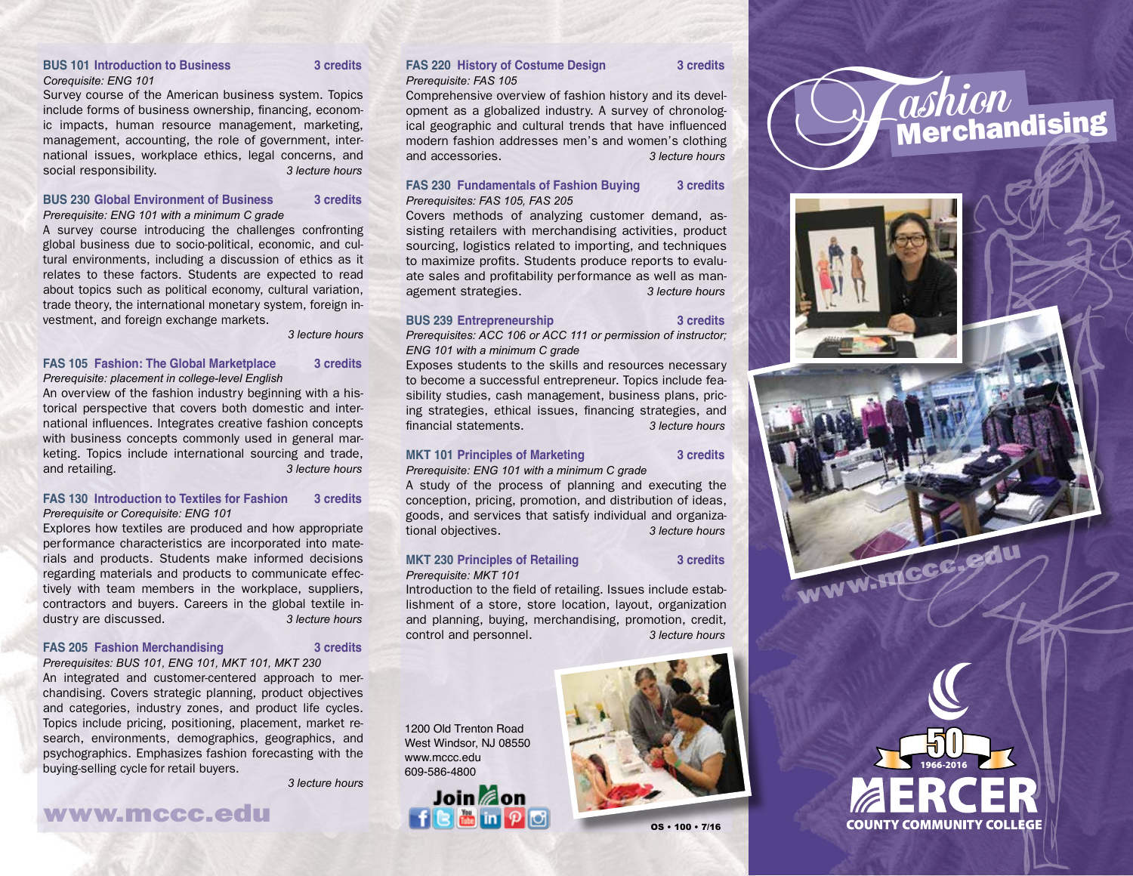#### **BUS 101 Introduction to Business 3 credits** *Corequisite: ENG 101*

Survey course of the American business system. Topics include forms of business ownership, financing, economic impacts, human resource management, marketing, management, accounting, the role of government, international issues, workplace ethics, legal concerns, and social responsibility. *3 lecture hours*

#### **BUS 230 Global Environment of Business 3 credits** *Prerequisite: ENG 101 with a minimum C grade*

A survey course introducing the challenges confronting global business due to socio-political, economic, and cultural environments, including a discussion of ethics as it relates to these factors. Students are expected to read about topics such as political economy, cultural variation, trade theory, the international monetary system, foreign investment, and foreign exchange markets.

*3 lecture hours* 

### **FAS 105 Fashion: The Global Marketplace 3 credits** *Prerequisite: placement in college-level English*

An overview of the fashion industry beginning with a historical perspective that covers both domestic and international influences. Integrates creative fashion concepts with business concepts commonly used in general marketing. Topics include international sourcing and trade, and retailing. *3 lecture hours*

#### **FAS 130 Introduction to Textiles for Fashion 3 credits** *Prerequisite or Corequisite: ENG 101*

Explores how textiles are produced and how appropriate performance characteristics are incorporated into materials and products. Students make informed decisions regarding materials and products to communicate effectively with team members in the workplace, suppliers, contractors and buyers. Careers in the global textile industry are discussed. *3 lecture hours*

#### **FAS 205 Fashion Merchandising 3 credits**

*Prerequisites: BUS 101, ENG 101, MKT 101, MKT 230*

An integrated and customer-centered approach to merchandising. Covers strategic planning, product objectives and categories, industry zones, and product life cycles. Topics include pricing, positioning, placement, market research, environments, demographics, geographics, and psychographics. Emphasizes fashion forecasting with the buying-selling cycle for retail buyers.

*3 lecture hours*

## www.mccc.edu

#### **FAS 220 History of Costume Design 3 credits** *Prerequisite: FAS 105*

Comprehensive overview of fashion history and its development as a globalized industry. A survey of chronological geographic and cultural trends that have influenced modern fashion addresses men's and women's clothing and accessories. *3 lecture hours*

#### **FAS 230 Fundamentals of Fashion Buying 3 credits** *Prerequisites: FAS 105, FAS 205*

Covers methods of analyzing customer demand, assisting retailers with merchandising activities, product sourcing, logistics related to importing, and techniques to maximize profits. Students produce reports to evaluate sales and profitability performance as well as management strategies. *3 lecture hours*

#### **BUS 239 Entrepreneurship 3 credits**

*Prerequisites: ACC 106 or ACC 111 or permission of instructor;* 

*ENG 101 with a minimum C grade*

Exposes students to the skills and resources necessary to become a successful entrepreneur. Topics include feasibility studies, cash management, business plans, pricing strategies, ethical issues, financing strategies, and financial statements. *3 lecture hours*

#### **MKT 101 Principles of Marketing 3 credits**

*Prerequisite: ENG 101 with a minimum C grade*

A study of the process of planning and executing the conception, pricing, promotion, and distribution of ideas, goods, and services that satisfy individual and organizational objectives. *3 lecture hours*

#### **MKT 230 Principles of Retailing 3 credits** *Prerequisite: MKT 101*

OS • 100 • 7/16

Introduction to the field of retailing. Issues include establishment of a store, store location, layout, organization and planning, buying, merchandising, promotion, credit, control and personnel. *3 lecture hours*

1200 Old Trenton Road West Windsor, NJ 08550 www.mccc.edu 609-586-4800